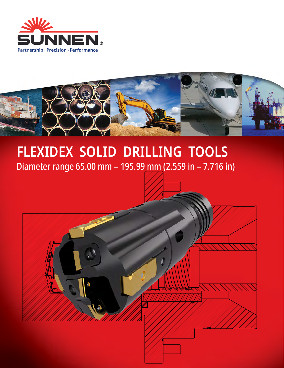



# **FLEXIDEX SOLID DRILLING TOOLS** Diameter range 65.00 mm – 195.99 mm (2.559 in – 7.716 in)

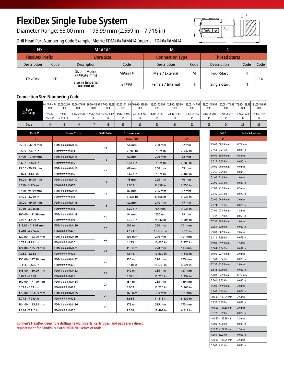# **FlexiDex Single Tube System**

Diameter Range: 65.00 mm – 195.99 mm (2.559 in – 7.716 in)

# $^{\prime}$  L  $^{\prime}$

101.60 - 125.99 mm 2.5 mm 4.000 - 4.960 in 0.098 in 126.00 - 127.99 mm 1.5 mm 4.961 - 5.039 in  $\Big| 0.059$  in 128.00 - 195.99 mm 2.5 mm 5.040 - 7.716 in 0.098 in

Ï

# Drill Head Part Numbering Code Example: Metric: FDM#####M414 Imperial: FD#####M414

| FD                     | M#####    |                                            | M      |                        |                      |                    |      |      |
|------------------------|-----------|--------------------------------------------|--------|------------------------|----------------------|--------------------|------|------|
| <b>FlexiDex Prefix</b> |           | <b>Bore Size</b>                           |        | <b>Connection Type</b> | <b>Thread Starts</b> |                    |      |      |
| Description            | Code      | <b>Description</b>                         | Code   | <b>Description</b>     | Code                 | <b>Description</b> | Code | Code |
|                        |           | Size in Metric<br>$(H#### + m))$           | M##### | Male / External        | м                    | Four-Start         | 4    |      |
| FlexiDex               | <b>FD</b> | Size in Imperial<br>$\#$ # $\#$ ## $\#$ in | #####  | Female / Internal      |                      | Single-Start       |      | 14   |

# **Connection Size Numbering Code**

| Bore<br>Size Range | mm                 | mm                    | mm | mm | mm | mm                                                            | mm            | (65.00-66.99 67.00-72.99 73.00 - 79.99 80.00 - 86.99 87.00 - 99.99 100.00 - 111.99 100.00 - 119.99 112.00 - 123.99 124.00 - 135.99 136.00 - 147.99 148.00 - 159.99 160.00 - 171.99 172.00 - 183.99 184.00-195.99 184.00-195.99<br>mm | mm            | mm            | mm            | mm            | mm          | mm          |
|--------------------|--------------------|-----------------------|----|----|----|---------------------------------------------------------------|---------------|--------------------------------------------------------------------------------------------------------------------------------------------------------------------------------------------------------------------------------------|---------------|---------------|---------------|---------------|-------------|-------------|
|                    | 2.559-<br>2.637 in | $2.638 -$<br>2.873 in | ın |    |    | 2.874 - 3.149   3.150 - 3.424   3.425 - 3.936   3.937 - 4.409 | 4.410 - 4.724 | 4.410 - 4.881                                                                                                                                                                                                                        | 4.882 - 5.353 | 5.354 - 5.826 | 5.827 - 6.298 | 6.299 - 6.771 | 6.772-7.243 | 7.244-7.716 |
| Code               |                    |                       | 16 |    | 18 |                                                               |               |                                                                                                                                                                                                                                      |               |               |               | 24            |             | 26          |

| Drill Ø            | Item Code    | Drill Tube | <b>Dimensions</b> |           |          | Drill Ø                              | Radial Adjustment               |
|--------------------|--------------|------------|-------------------|-----------|----------|--------------------------------------|---------------------------------|
| 'D'                |              |            | <b>Tube OD</b>    | L.        | 'd'      | 'D'                                  |                                 |
| 65.00 - 66.99 mm   | FDM#####M414 |            | 56 mm             | 200 mm    | 52 mm    | 65.00 - 68.99 mm                     | $0.75$ mm                       |
| 2.559 - 2.637 in   | FD#####M414  | 14         | 2.205 in          | 7.874 in  | 2.047 in | 2.559 - 2.716 in                     | $0.030$ in                      |
| 67.00 - 72.99 mm   | FDM#####M415 |            | 62 mm             | 200 mm    | 58 mm    | 69.00 - 69.99 mm                     | $0.5$ mm                        |
| 2.638 - 2.873 in   | FD#####M415  | 15         | 2.441 in          | 7.874 in  | 2.283 in | 2.717 - 2.755 in                     | $0.020$ in                      |
| 73.00 - 79.99 mm   | FDM#####M416 |            | 68 mm             | 200 mm    | 63 mm    | 70.00 - 70.99 mm                     | 0.0 <sub>mm</sub>               |
| 2.874 - 3.149 in   | FD#####M416  | 16         | 2.677 in          | 7.874 in  | 2.480 in | 2.756 - 2.794 in                     | 0.0 <sub>in</sub>               |
| 80.00 - 86.99 mm   | FDM#####M417 |            | 75 mm             | 225 mm    | 70 mm    | 71.00 - 71.99 m                      | 1.0 <sub>mm</sub>               |
| 3.150 - 3.424 in   | FD#####M417  | 17         | 2.953 in          | 8.858 in  | 2.756 in | 2.795 - 2.834 in                     | $0.039$ in                      |
| 87.00 - 94.99 mm   | FDM#####M418 |            | 82 mm             | 225 mm    | 77 mm    | 72.00 - 72.99 mm                     | $0.5$ mm                        |
| 3.425 - 3.739 in   | FD#####M418  | 18         | 3.228 in          | 8.858 in  | 3.031 in | 2.835 - 2.873 in                     | $0.020$ in                      |
| 95.00 - 99.99 mm   | FDM#####M418 |            | 82 mm             | 240 mm    | 77 mm    | 73.00 - 76.99 mm                     | $2.0$ mm                        |
| 3.740 - 3.936 in   | FD#####M418  | 18         | 3.228 in          | 9.449in   | 3.031 in | 2.874 - 3.031 in                     | $0.079$ in                      |
| 100.00 - 111.99 mm | FDM#####M419 |            | 94 mm             | 250 mm    | 89 mm    | 77.00 - 77.49 mm                     | $1.5 \text{ mm}$                |
| 3.937 - 4.409 in   | FD#####M419  | 19         | 3.701 in          | 9.842 in  | 3.504 in | 3.032 - 3.050 in<br>77.50 - 78.99 mm | $0.059$ in<br>1.0 <sub>mm</sub> |
| 112.00 - 119.99 mm | FDM#####M420 |            | 106 mm            | 260 mm    | 101 mm   | 3.051 - 3.109 in                     | $0.039$ in                      |
| 4.410 - 4.724 in   | FD#####M420  | 20         | 4.173 in          | 10.236 in | 3.976 in | 79.00 - 88.99 mm                     | 2.0 <sub>mm</sub>               |
| 120.00 - 123.99 mm | FDM#####M420 |            | 106 mm            | 270 mm    | 101 mm   | 3.110 - 3.503 in                     | 0.079 in                        |
| 4.725 - 4.881 in   | FD#####M420  | 20         | 4.173 in          | 10.630 in | 3.976 in | 89.00 - 89.99 mm                     | $1.5$ mm                        |
| 124.00 - 135.99 mm | FDM#####M421 |            | 118 mm            | 270 mm    | 113 mm   | 3.504 - 3.542 in                     | $0.059$ in                      |
| 4.882 - 5.353 in   | FD#####M421  | 21         | 4.646 in          | 10.630 in | 4.449 in | 90.00 - 92.49 mm                     | 2.0 <sub>mm</sub>               |
| 136.00 - 147.99 mm | FDM#####M422 |            | 130 mm            | 270 mm    | 125 mm   | 3.543 - 3.641 in                     | 0.079 in                        |
| 5.354 - 5.826 in   | FD#####M422  | 22         | 5.118 in          | 10.630 in | 4.921 in | 92.50 - 93.99 mm                     | 1.0 <sub>mm</sub>               |
| 148.00 - 159.99 mm | FDM#####M423 |            | 142 mm            | 285 mm    | 137 mm   | 3.642 - 3.700 in                     | $0.039$ in                      |
| 5.827 - 6.298 in   | FD#####M423  | 23         | 5.591 in          | 11.220 in | 5.394 in | 94.00 - 94.99 mm                     | $0.75$ mm                       |
| 160.00 - 171.99 mm | FDM#####M424 |            | 154 mm            | 285 mm    | 149 mm   | 3.701 - 3.739 in                     | $0.030$ in                      |
| 6.299 - 6.771 in   | FD#####M424  | 24         | 6.063 in          | 11.220 in | 5.866 in | 95.00 - 99.99 mm                     | $2.0$ mm                        |
| 172.00 - 183.99 mm | FDM#####M425 |            | 166 mm            | 300 mm    | 161 mm   | 3.740 - 3.936 in                     | $0.079$ in                      |
| 6.772 - 7.243 in   | FD#####M425  | 25         | 6.535 in          | 11.811 in | 6.339 in | 100.00 - 100.99 mm                   | $2.5$ mm                        |
| 184.00 - 195.99 mm | FDM#####M426 |            | 178 mm            | 315 mm    | 173 mm   | 3.937 - 3.976 in                     | 0.098 in                        |
| 7.244 - 7.716 in   | FD#####M426  | 26         | 7.008 in          | 12.402 in | 6.811 in | 101.00 - 101.59 mm                   | $2.0$ mm                        |
|                    |              |            |                   |           |          | 3.977 - 3.999 in                     | $0.079$ in                      |

**Sunnen's FlexiDex deep hole drilling heads, inserts, cartridges, and pads are a direct replacement for Sandvik's CoroDrill® 801 series of tools.**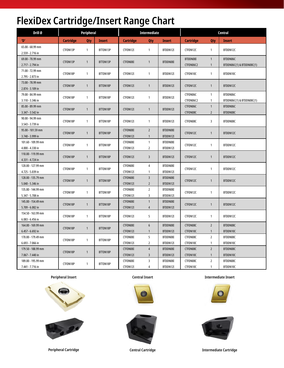# **FlexiDex Cartridge/Insert Range Chart**

| Drill Ø                                | Peripheral       |              |               |                      | Intermediate                     |                      |                  | Central        |                           |  |
|----------------------------------------|------------------|--------------|---------------|----------------------|----------------------------------|----------------------|------------------|----------------|---------------------------|--|
| 'D'                                    | <b>Cartridge</b> | <b>Qty</b>   | <b>Insert</b> | Cartridge            | Qty                              | <b>Insert</b>        | <b>Cartridge</b> | Qty            | <b>Insert</b>             |  |
| 65.00 - 68.99 mm                       | CTFDN13P         | $\mathbf{1}$ | BTTDN13P      | CTFDN12I             | $\mathbf{1}$                     | BTDDN12I             | CTFDN12C         | $\mathbf{1}$   | BTDDN12C                  |  |
| 2.559 - 2.716 in                       |                  |              |               |                      |                                  |                      |                  |                |                           |  |
| 69.00 - 70.99 mm                       | CTFDN13P         | $\mathbf{1}$ | BTTDN13P      | CTFDN08I             | $\mathbf{1}$                     | BTDDN08I             | BTDDN08I         | $\mathbf{1}$   | BTDDN06C                  |  |
| 2.717 - 2.794 in                       |                  |              |               |                      |                                  |                      | CTFDN06C2        | $\mathbf{1}$   | BTDDN06C(1) & BTDDN08C(1) |  |
| 71.00 - 72.99 mm                       | CTFDN18P         | $\mathbf{1}$ | BTTDN18P      | CTFDN12I             | $\mathbf{1}$                     | BTDDN12I             | CTFDN10C         | $\mathbf{1}$   | BTDDN10C                  |  |
| 2.795 - 2.873 in<br>73.00 - 78.99 mm   |                  |              |               |                      |                                  |                      |                  |                |                           |  |
| 2.874 - 3.109 in                       | CTFDN18P         | $\mathbf{1}$ | BTTDN18P      | CTFDN12I             | $\mathbf{1}$                     | BTDDN12I             | CTFDN12C         | $\mathbf{1}$   | BTDDN12C                  |  |
| 79.00 - 84.99 mm                       |                  |              |               |                      |                                  |                      | CTFDN06C         | $\mathbf{1}$   | BTDDN06C                  |  |
| 3.110 - 3.346 in                       | CTFDN18P         | $\mathbf{1}$ | BTTDN18P      | CTFDN12I             | $\mathbf{1}$                     | BTDDN12I             | CTFDN06C2        | $\mathbf{1}$   | BTDDN06C(1) & BTDDN08C(1) |  |
| 85.00 - 89.99 mm                       |                  |              |               |                      |                                  |                      | CTFDN06C         | $\mathbf{1}$   | BTDDN06C                  |  |
| 3.347 - 3.542 in                       | CTFDN18P         | $\mathbf{1}$ | BTTDN18P      | CTFDN12I             | $\overline{1}$                   | BTDDN12I             | CTFDN08C         | $\overline{2}$ | BTDDN08C                  |  |
| 90.00 - 94.99 mm                       |                  |              |               |                      |                                  |                      |                  |                |                           |  |
| 3.543 - 3.739 in                       | CTFDN18P         | $\mathbf{1}$ | BTTDN18P      | CTFDN12I             | $\mathbf{1}$                     | BTDDN12I             | CTFDN08C         | 3              | BTDDN08C                  |  |
| 95.00 - 101.59 mm                      | CTFDN18P         | $\mathbf{1}$ | BTTDN18P      | CTFDN08I             | $\overline{2}$                   | BTDDN08I             | CTFDN12C         | $\mathbf{1}$   | BTDDN12C                  |  |
| 3.740 - 3.999 in                       |                  |              |               | CTFDN12I             | $\mathbf{1}$                     | BTDDN12I             |                  |                |                           |  |
| 101.60 - 109.99 mm                     | CTFDN18P         | $\mathbf{1}$ | BTTDN18P      | CTFDN08I             | $\mathbf{1}$                     | BTDDN08I             | CTFDN12C         | $\mathbf{1}$   | BTDDN12C                  |  |
| 4.000 - 4.330 in                       |                  |              |               | CTFDN12I             | $\overline{2}$                   | BTDDN12I             |                  |                |                           |  |
| 110.00 - 119.99 mm                     | CTFDN18P         | $\mathbf{1}$ | BTTDN18P      | CTFDN12I             | $\overline{3}$                   | BTDDN12I             | CTFDN12C         | $\mathbf{1}$   | BTDDN12C                  |  |
| 4.331 - 4.724 in                       |                  |              |               |                      |                                  |                      |                  |                |                           |  |
| 120.00 - 127.99 mm                     | CTFDN18P         | $\mathbf{1}$ | BTTDN18P      | CTFDN08I             | $\overline{4}$                   | BTDDN08I             | CTFDN12C         | $\mathbf{1}$   | BTDDN12C                  |  |
| 4.725 - 5.039 in                       |                  |              |               | CTFDN12I             | $\mathbf{1}$                     | BTDDN12I             |                  |                |                           |  |
| 128.00 - 135.79 mm                     | CTFDN18P         | $\mathbf{1}$ | BTTDN18P      | CTFDN08I             | $\overline{3}$                   | BTDDN08I             | CTFDN12C         | $\mathbf{1}$   | BTDDN12C                  |  |
| 5.040 - 5.346 in                       |                  |              |               | CTFDN12I             | $\overline{2}$<br>$\overline{2}$ | BTDDN12I             |                  |                |                           |  |
| 135.80 - 144.99 mm<br>5.347 - 5.708 in | CTFDN18P         | $\mathbf{1}$ | BTTDN18P      | CTFDN08I<br>CTFDN12I | 3                                | BTDDN08I<br>BTDDN12I | CTFDN12C         | $\mathbf{1}$   | BTDDN12C                  |  |
| 145.00 - 154.49 mm                     |                  |              |               | CTFDN08I             | $\mathbf{1}$                     | BTDDN08I             |                  |                |                           |  |
| 5.709 - 6.082 in                       | CTFDN18P         | $\mathbf{1}$ | BTTDN18P      | CTFDN12I             | $\overline{4}$                   | BTDDN12I             | CTFDN12C         | $\mathbf{1}$   | BTDDN12C                  |  |
| 154.50 - 163.99 mm                     |                  |              |               |                      |                                  |                      |                  |                |                           |  |
| 6.083 - 6.456 in                       | CTFDN18P         | $\mathbf{1}$ | BTTDN18P      | CTFDN12I             | 5                                | BTDDN12I             | CTFDN12C         | $\mathbf{1}$   | BTDDN12C                  |  |
| 164.00 - 169.99 mm                     |                  |              |               | CTFDN08I             | $6\phantom{1}$                   | BTDDN08I             | CTFDN08C         | $\overline{2}$ | BTDDN08C                  |  |
| 6.457 - 6.692 in                       | CTFDN18P         | $\mathbf{1}$ | BTTDN18P      | CTFDN12I             | $\mathbf{1}$                     | BTDDN12I             | CTFDN10C         | $\mathbf{1}$   | BTDDN10C                  |  |
| 170.00 - 179.49 mm                     |                  |              |               | CTFDN08I             | 5                                | BTDDN08I             | CTFDN08C         | $\overline{2}$ | BTDDN08C                  |  |
| 6.693 - 7.066 in                       | CTFDN18P         | $\mathbf{1}$ | BTTDN18P      | CTFDN12I             | $\overline{2}$                   | BTDDN12I             | CTFDN10C         | $\mathbf{1}$   | BTDDN10C                  |  |
| 179.50 - 188.99 mm                     | CTFDN18P         | $\mathbf{1}$ | BTTDN18P      | CTFDN08I             | $\overline{4}$                   | BTDDN08I             | CTFDN08C         | $\overline{2}$ | BTDDN08C                  |  |
| 7.067 - 7.440 in                       |                  |              |               | CTFDN12I             | 3                                | BTDDN12I             | CTFDN10C         | $\mathbf{1}$   | BTDDN10C                  |  |
| 189.00 - 195.99 mm                     | CTFDN18P         | $\mathbf{1}$ | BTTDN18P      | CTFDN08I             | $\overline{3}$                   | BTDDN08I             | CTFDN08C         | $\overline{2}$ | BTDDN08C                  |  |
| 7.441 - 7.716 in                       |                  |              |               | CTFDN12I             | 4                                | BTDDN12I             | CTFDN10C         | $\mathbf{1}$   | BTDDN10C                  |  |







**Peripheral Insert Central Insert Intermediate Insert**





**Peripheral Cartridge Central Cartridge Intermediate Cartridge**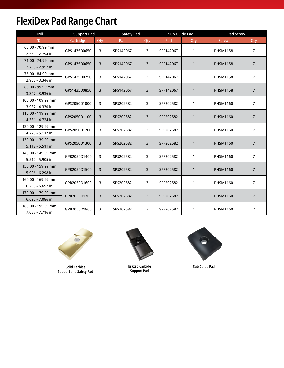# **FlexiDex Pad Range Chart**

| <b>Drill</b>       | <b>Support Pad</b> |     | Safety Pad |     | Sub Guide Pad |              | Pad Screw       |                |  |
|--------------------|--------------------|-----|------------|-----|---------------|--------------|-----------------|----------------|--|
| 'D'                | Cartridge          | Qty | Pad        | Qty | Pad           | Qty          | <b>Screw</b>    | Qty            |  |
| 65.00 - 70.99 mm   |                    | 3   |            | 3   |               |              |                 |                |  |
| 2.559 - 2.794 in   | GPS1435D0650       |     | SPS142067  |     | SPF142067     | $\mathbf{1}$ | <b>PHSM1158</b> | 7              |  |
| 71.00 - 74.99 mm   | GPS1435D0650       | 3   | SPS142067  | 3   | SPF142067     | $\mathbf{1}$ | <b>PHSM1158</b> | $\overline{7}$ |  |
| 2.795 - 2.952 in   |                    |     |            |     |               |              |                 |                |  |
| 75.00 - 84.99 mm   | GPS1435D0750       | 3   | SPS142067  | 3   | SPF142067     | $\mathbf{1}$ |                 | $\overline{7}$ |  |
| 2.953 - 3.346 in   |                    |     |            |     |               |              | <b>PHSM1158</b> |                |  |
| 85.00 - 99.99 mm   | GPS1435D0850       | 3   | SPS142067  | 3   | SPF142067     | $\mathbf{1}$ | <b>PHSM1158</b> | $\overline{7}$ |  |
| 3.347 - 3.936 in   |                    |     |            |     |               |              |                 |                |  |
| 100.00 - 109.99 mm | GPS2050D1000       | 3   |            | 3   | SPF202582     |              | <b>PHSM1160</b> |                |  |
| 3.937 - 4.330 in   |                    |     | SPS202582  |     |               | 1            |                 | $\overline{7}$ |  |
| 110.00 - 119.99 mm |                    |     |            | 3   |               |              |                 | $\overline{7}$ |  |
| 4.331 - 4.724 in   | GPS2050D1100       | 3   | SPS202582  |     | SPF202582     | $\mathbf{1}$ | <b>PHSM1160</b> |                |  |
| 120.00 - 129.99 mm | GPS2050D1200       | 3   | SPS202582  | 3   | SPF202582     | $\mathbf{1}$ | <b>PHSM1160</b> | $\overline{7}$ |  |
| 4.725 - 5.117 in   |                    |     |            |     |               |              |                 |                |  |
| 130.00 - 139.99 mm | GPS2050D1300       | 3   | SPS202582  | 3   | SPF202582     | $\mathbf{1}$ | <b>PHSM1160</b> |                |  |
| 5.118 - 5.511 in   |                    |     |            |     |               |              |                 | $\overline{7}$ |  |
| 140.00 - 149.99 mm | GPB2050D1400       | 3   | SPS202582  | 3   | SPF202582     | $\mathbf{1}$ | PHSM1160        | $\overline{7}$ |  |
| 5.512 - 5.905 in   |                    |     |            |     |               |              |                 |                |  |
| 150.00 - 159.99 mm | GPB2050D1500       | 3   | SPS202582  | 3   | SPF202582     | $\mathbf{1}$ | <b>PHSM1160</b> | 7              |  |
| 5.906 - 6.298 in   |                    |     |            |     |               |              |                 |                |  |
| 160.00 - 169.99 mm | GPB2050D1600       | 3   | SPS202582  | 3   | SPF202582     | 1            | <b>PHSM1160</b> | $\overline{7}$ |  |
| 6.299 - 6.692 in   |                    |     |            |     |               |              |                 |                |  |
| 170.00 - 179.99 mm | GPB2050D1700       | 3   | SPS202582  | 3   | SPF202582     | $\mathbf{1}$ | <b>PHSM1160</b> |                |  |
| 6.693 - 7.086 in   |                    |     |            |     |               |              |                 | $\overline{7}$ |  |
| 180.00 - 195.99 mm | GPB2050D1800       | 3   | SPS202582  | 3   | SPF202582     | $\mathbf{1}$ | <b>PHSM1160</b> |                |  |
| 7.087 - 7.716 in   |                    |     |            |     |               |              |                 | $\overline{7}$ |  |



**Solid Carbide Support and Safety Pad**



**Brazed Carbide Support Pad**



**Sub Guide Pad**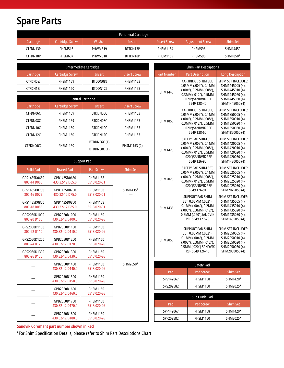# **Spare Parts**

| Peripheral Cartridge |                        |         |          |                     |                         |                 |  |  |  |
|----------------------|------------------------|---------|----------|---------------------|-------------------------|-----------------|--|--|--|
| Cartridge            | <b>Cartridge Screw</b> | Washer  | Insert   | <b>Insert Screw</b> | <b>Adjustment Screw</b> | <b>Shim Set</b> |  |  |  |
| CTFDN13P             | <b>PHSM516</b>         | PHWM519 | BTTDN13P | <b>PHSM1154</b>     | <b>PHSM596</b>          | SHM1445*        |  |  |  |
| CTFDN18P             | <b>PHSM607</b>         | PHWM518 | BTTDN18P | <b>PHSM1159</b>     | <b>PHSM596</b>          | SHM1850*        |  |  |  |

| Intermediate Cartridge |                        |          |                 |  |  |  |  |  |  |
|------------------------|------------------------|----------|-----------------|--|--|--|--|--|--|
| Cartridge              | <b>Cartridge Screw</b> | Insert   | Insert Screw    |  |  |  |  |  |  |
| CTFDN08I               | <b>PHSM1159</b>        | BTDDN08I | <b>PHSM1153</b> |  |  |  |  |  |  |
| CTFDN12I               | PHSM1160               | BTDDN12I | <b>PHSM1153</b> |  |  |  |  |  |  |

|           | Central Cartridge      |                    |                     |  |  |  |  |  |  |  |
|-----------|------------------------|--------------------|---------------------|--|--|--|--|--|--|--|
| Cartridge | <b>Cartridge Screw</b> | Insert             | <b>Insert Screw</b> |  |  |  |  |  |  |  |
| CTFDN06C  | <b>PHSM1159</b>        | BTDDN06C           | <b>PHSM1153</b>     |  |  |  |  |  |  |  |
| CTFDN08C  | <b>PHSM1159</b>        | BTDDN08C           | <b>PHSM1153</b>     |  |  |  |  |  |  |  |
| CTFDN10C  | PHSM1160               | BTDDN10C           | <b>PHSM1153</b>     |  |  |  |  |  |  |  |
| CTFDN12C  | PHSM1160               | BTDDN12C           | <b>PHSM1153</b>     |  |  |  |  |  |  |  |
|           |                        | <b>BTDDN06C(1)</b> | PHSM1153(2)         |  |  |  |  |  |  |  |
| CTFDN06C2 | PHSM1160               | BTDDN08C (1)       |                     |  |  |  |  |  |  |  |

|                  | <b>Support Pad</b>               |                                |                 |
|------------------|----------------------------------|--------------------------------|-----------------|
| <b>Solid Pad</b> | <b>Brazed Pad</b>                | <b>Pad Screw</b>               | <b>Shim Set</b> |
| GPS1435D0650     | GPB1435D0650                     | <b>PHSM1158</b>                |                 |
| 800-14 D065      | 430.32-12 D65.0                  | 5513 020-01                    |                 |
| GPS1435D0750     | GPB1435D0750                     | <b>PHSM1158</b>                | SHM1435*        |
| 800-16 D075      | 430.32-12 D75.0                  | 5513 020-01                    |                 |
| GPS1435D0850     | GPB1435D0850                     | <b>PHSM1158</b>                |                 |
| 800-18 D085      | 430.32-12 D85.0                  | 5513 020-01                    |                 |
| GPS2050D1000     | GPB2050D1000                     | <b>PHSM1160</b>                |                 |
| 800-20 D100      | 430.32-12 D100.0                 | 5513 020-26                    |                 |
| GPS2050D1100     | GPB2050D1100                     | <b>PHSM1160</b>                |                 |
| 800-22 D110      | 430.32-12 D110.0                 | 5513 020-26                    |                 |
| GPS2050D1200     | GPB2050D1200                     | PHSM1160                       |                 |
| 800-24 D120      | 430.32-12 D120.0                 | 5513 020-26                    |                 |
| GPS2050D1300     | GPB2050D1300                     | PHSM1160                       |                 |
| 800-26 D130      | 430.32-12 D130.0                 | 5513 020-26                    |                 |
|                  | GPB2050D1400<br>430.32-12 D140.0 | <b>PHSM1160</b><br>5513 020-26 | SHM2050*        |
|                  | GPB2050D1500<br>430.32-12 D150.0 | <b>PHSM1160</b><br>5513 020-26 |                 |
|                  | GPB2050D1600<br>430.32-12 D160.0 | PHSM1160<br>5513 020-26        |                 |
|                  | GPB2050D1700<br>430.32-12 D170.0 | <b>PHSM1160</b><br>5513 020-26 |                 |
|                  | GPB2050D1800<br>430.32-12 D180.0 | <b>PHSM1160</b><br>5513 020-26 |                 |

|                    | <b>Shim Part Descriptions</b>                                                                                                                 |                                                                                                                         |
|--------------------|-----------------------------------------------------------------------------------------------------------------------------------------------|-------------------------------------------------------------------------------------------------------------------------|
| <b>Part Number</b> | <b>Part Description</b>                                                                                                                       | <b>Long Description</b>                                                                                                 |
| SHM1445            | CARTRIDGE SHIM SET,<br>0.05MM (.002"), 0.1MM<br>(.004"), 0.2MM (.008"),<br>0.3MM (.012"), 0.5MM<br>(.020")SANDVIK REF<br>5549 128-40          | SHIM SET INCLUDES:<br>SHM1445005 (4),<br>SHM1445010 (4),<br>SHM1445020 (4),<br>SHM1445030 (4),<br>SHM1445050 (4)        |
| SHM1850            | CARTRIDGE SHIM SET,<br>0.05MM (.002"), 0.1MM<br>(.004"), 0.2MM (.008"),<br>0.3MM (.012"), 0.5MM<br>(.020")SANDVIK REF<br>5549 128-60          | <b>SHIM SET INCLUDES:</b><br>SHM1850005 (4),<br>SHM1850010 (4),<br>SHM1850020 (4).<br>SHM1850030 (4),<br>SHM1850050 (4) |
| SHM1420            | SAFETY PAD SHIM SET,<br>0.05MM (.002"), 0.1MM<br>(.004"), 0.2MM (.008"),<br>0.3MM (.012"), 0.5MM<br>(.020")SANDVIK REF<br>5549 126-90         | <b>SHIM SET INCLUDES:</b><br>SHM1420005 (4),<br>SHM1420010 (4),<br>SHM1420020 (4),<br>SHM1420030 (4).<br>SHM1420050 (4) |
| SHM2025            | SAFETY PAD SHIM SET,<br>0.05MM (.002"), 0.1MM<br>$(.004'')$ , 0.2MM $(.008'')$ ,<br>0.3MM (.012"), 0.5MM<br>(.020")SANDVIK REF<br>5549 126-91 | SHIM SET INCLUDES:<br>SHM2025005 (4),<br>SHM2025010 (4),<br>SHM2025020 (4),<br>SHM2025030 (4),<br>SHM2025050 (4)        |
| SHM1435            | <b>SUPPORT PAD SHIM</b><br>SET, 0.05MM (.002"),<br>0.1MM (.004"), 0.2MM<br>(.008"), 0.3MM (.012"),<br>0.5MM (.020")SANDVIK<br>REF 5549 127-20 | <b>SHIM SET INCLUDES:</b><br>SHM1435005 (4),<br>SHM1435010 (4),<br>SHM1435020 (4),<br>SHM1435030 (4),<br>SHM1435050 (4) |
| SHM2050            | SUPPORT PAD SHIM<br>SET, 0.05MM (.002"),<br>0.1MM (.004"), 0.2MM<br>(.008"), 0.3MM (.012"),<br>0.5MM (.020") SANDVIK<br>REF 5549 126-10       | SHIM SET INCLUDES:<br>SHM2050005 (4),<br>SHM2050010 (4),<br>SHM2050020 (4),<br>SHM2050030 (4),<br>SHM2050050 (4)        |
|                    | Safety Pad                                                                                                                                    |                                                                                                                         |
| Pad                | Pad Screw                                                                                                                                     | Shim Set                                                                                                                |
| SPS142067          | PHSM1158                                                                                                                                      | SHM1420*                                                                                                                |
| SPS202582          | PHSM1160                                                                                                                                      | SHM2025*                                                                                                                |
|                    | Sub Guide Pad                                                                                                                                 |                                                                                                                         |
| Pad                | <b>Pad Screw</b>                                                                                                                              | <b>Shim Set</b>                                                                                                         |
| SPF142067          | <b>PHSM1158</b>                                                                                                                               | SHM1420*                                                                                                                |

SPF202582 | PHSM1160 | SHM2025\*

# **Sandvik Coromant part number shown in Red**

\*For Shim Specification Details, please refer to Shim Part Descriptions Chart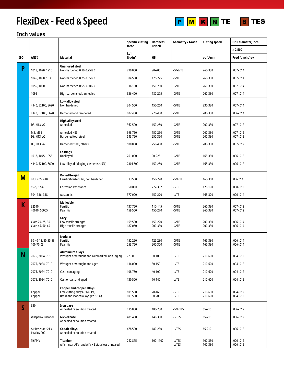# **FlexiDex - Feed & Speed**





# **Inch values**

|                         |                                      |                                                                                                       | <b>Specific cutting</b>    | <b>Hardness</b>    | Geometry / Grade   | <b>Cutting speed</b> | Drill diameter, inch       |
|-------------------------|--------------------------------------|-------------------------------------------------------------------------------------------------------|----------------------------|--------------------|--------------------|----------------------|----------------------------|
|                         |                                      |                                                                                                       | force                      | <b>Brinell</b>     |                    |                      | $\geq 2.500$               |
| ISO                     | <b>ANSI</b>                          | Material                                                                                              | kc1<br>lbs/in <sup>2</sup> | <b>HB</b>          |                    | vc ft/min            | Feed $f_n$ inch/rev        |
| P                       | 1018, 1020, 1215                     | <b>Unalloyed steel</b><br>Non-hardened 0.10-0.25% C                                                   | 290 000                    | 90-200             | $-G/-L/TE$         | 260-330              | .007-.014                  |
|                         | 1045, 1050, 1335                     | Non-hardened 0.25-0.55% C                                                                             | 304 500                    | 125-225            | $-G/TE$            | 260-330              | .007-.014                  |
|                         | 1055, 1060                           | Non-hardened 0.55-0.80% C                                                                             | 316 100                    | 150-250            | $-G/TE$            | 260-330              | .007-.014                  |
|                         | 1095                                 | High carbon steel, annealed                                                                           | 336 400                    | 180-275            | $-G/TE$            | 260-330              | .007-.014                  |
|                         | 4140, 52100, 8620                    | Low alloy steel<br>Non hardened                                                                       | 304 500                    | 150-260            | $-G/TE$            | 230-330              | .007-.014                  |
|                         | 4140, 52100, 8620                    | Hardened and tempered                                                                                 | 402 400                    | 220-450            | $-G/TE$            | 200-330              | .006-.014                  |
|                         | D3, H13, A2                          | <b>High alloy steel</b><br>Annealed                                                                   | 362 500                    | 150-250            | $-G/TE$            | 200-330              | .007-.012                  |
|                         | M3, M35<br>D3, H13, A2               | <b>Annealed HSS</b><br>Hardened tool steel                                                            | 398 750<br>543 750         | 150-250<br>250-350 | $-G/TE$<br>$-G/TE$ | 200-330<br>200-330   | 007-.012<br>.007-.012      |
|                         | D3, H13, A2                          | Hardened steel, others                                                                                | 580 000                    | 250-450            | $-G/TE$            | 200-330              | .007-.012                  |
|                         | 1018, 1045, 1055                     | Castings<br>Unalloyed                                                                                 | 261 000                    | 90-225             | $-G/TE$            | 165-330              | .006-.012                  |
|                         | 4140, 52100, 8620                    | Low alloyed (alloying elements < 5%)                                                                  | 2304 500                   | 150-250            | $-G/TE$            | 165-330              | .006-.012                  |
| M                       | 403, 405, 410                        | Rolled/forged<br>Ferritic/Martensitic, non hardened                                                   | 333 500                    | 150-270            | -G/L/TE            | 165-300              | .006.014                   |
|                         | 15-5, 17-4                           | <b>Corrosion Resistance</b>                                                                           | 350.000                    | 277-352            | $-L/TE$            | 128-190              | .008-.013                  |
|                         | 304, 316, 318                        | Austenitic                                                                                            | 377000                     | 150-270            | $-L/TE$            | 165-300              | .006-.014                  |
| К                       | 32510<br>40010, 50005                | <b>Malleable</b><br>Ferritic<br>Pearlitic                                                             | 137750<br>159 500          | 110-145<br>150-270 | $-G/TE$<br>$-G/TE$ | 260-330<br>260-330   | .007-.012<br>.007-.012     |
|                         | Class 20, 25, 30<br>Class 45, 50, 60 | Grey<br>Low tensile strength<br>High tensile strength                                                 | 159 500<br>187050          | 150-220<br>200-330 | $-G/TE$<br>$-G/TE$ | 200-330<br>200-330   | .006-.014<br>.006-.014     |
|                         | 60-40-18, 80-55-56<br>100-70-03      | <b>Nodular</b><br>Ferritic<br>Pearlitic                                                               | 152 250<br>253750          | 125-230<br>200-300 | -G/TE<br>$-G/TE$   | 165-330<br>165-330   | .006-.014<br>.006-.014     |
| N                       | 7075, 2024, 7010                     | <b>Aluminium alloys</b><br>Wrought or wrought and coldworked, non- aging                              | 72 500                     | 30-100             | $-L/TE$            | 210-600              | .004-.012                  |
|                         | 7075, 2024, 7010                     | Wrought or wrought and aged                                                                           | 116 000                    | 30-150             | $-L/TE$            | 210-600              | .004-.012                  |
|                         | 7075, 2024, 7010                     | Cast, non aging                                                                                       | 108 750                    | 40-100             | $-L/TE$            | 210-600              | .004-.012                  |
|                         | 7075, 2024, 7010                     | Cast or cast and aged                                                                                 | 130 500                    | 70-140             | $-L/TE$            | 210-600              | .004-.012                  |
|                         | Copper<br>Copper                     | <b>Copper and copper alloys</b><br>Free cutting alloys (Pb > 1%)<br>Brass and leaded alloys (Pb < 1%) | 101500<br>101 500          | 70-160<br>50-200   | $-L/TE$<br>$-L/TE$ | 210-600<br>210-600   | $.004 - .012$<br>.004-.012 |
| $\overline{\mathsf{S}}$ | 330                                  | <b>Iron base</b><br>Annealed or solution treated                                                      | 435 000                    | 180-230            | -G/L/TES           | 65-210               | .006-.012                  |
|                         | Waspaloy, Inconel                    | <b>Nickel base</b><br>Annealed or solution treated                                                    | 481 400                    | 140-300            | -L/TES             | 65-210               | 006-.012                   |
|                         | Air Resistant 213,<br>Jetalloy 209   | <b>Cobalt alloys</b><br>Annealed or solution treated                                                  | 478 500                    | 180-230            | -L/TES             | 65-210               | .006-.012                  |
|                         | Ti6Al4V                              | <b>Titanium</b><br>Alfa-, near Alfa- and Alfa + Beta alloys annealed                                  | 242 875                    | 600-1100           | -L/TES<br>-L/TES   | 100-330<br>100-330   | .006-.012<br>.006-.012     |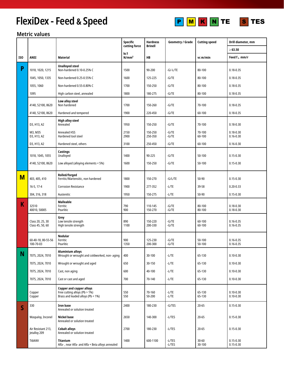# **FlexiDex - Feed & Speed** P M K N TE S TES





|              |                                      |                                                                                                       | Specific                 | <b>Hardness</b><br><b>Brinell</b> | <b>Geometry / Grade</b> | <b>Cutting speed</b> | Drill diameter, mm             |
|--------------|--------------------------------------|-------------------------------------------------------------------------------------------------------|--------------------------|-----------------------------------|-------------------------|----------------------|--------------------------------|
|              |                                      |                                                                                                       | cutting force            |                                   |                         |                      | $\geq 63.50$                   |
| ISO          | ANSI                                 | Material                                                                                              | kc1<br>N/mm <sup>2</sup> | НB                                |                         | vc m/min             | Feed $f_n$ mm/r                |
| P            | 1018, 1020, 1215                     | <b>Unalloyed steel</b><br>Non-hardened 0.10-0.25% C                                                   | 1500                     | 90-200                            | -G/-L/TE                | 80-100               | $0.18 - 0.35$                  |
|              | 1045, 1050, 1335                     | Non-hardened 0.25-0.55% C                                                                             | 1600                     | 125-225                           | -G/TE                   | 80-100               | $0.18 - 0.35$                  |
|              | 1055, 1060                           | Non-hardened 0.55-0.80% C                                                                             | 1700                     | 150-250                           | $-G/TE$                 | 80-100               | $0.18 - 0.35$                  |
|              | 1095                                 | High carbon steel, annealed                                                                           | 1800                     | 180-275                           | $-G/TE$                 | 80-100               | $0.18 - 0.35$                  |
|              | 4140, 52100, 8620                    | Low alloy steel<br>Non hardened                                                                       | 1700                     | 150-260                           | $-G/TE$                 | 70-100               | $0.18 - 0.35$                  |
|              | 4140, 52100, 8620                    | Hardened and tempered                                                                                 | 1900                     | 220-450                           | $-G/TE$                 | 60-100               | $0.18 - 0.35$                  |
|              | D3, H13, A2                          | <b>High alloy steel</b><br>Annealed                                                                   | 1950                     | 150-250                           | $-G/TE$                 | 70-100               | $0.18 - 0.30$                  |
|              | M3, M35<br>D3, H13, A2               | <b>Annealed HSS</b><br>Hardened tool steel                                                            | 2150<br>2900             | 150-250<br>250-350                | $-G/TE$<br>-G/TE        | 70-100<br>60-100     | $0.18 - 0.30$<br>$0.16 - 0.30$ |
|              | D3, H13, A2                          | Hardened steel, others                                                                                | 3100                     | 250-450                           | $-G/TE$                 | 60-100               | $0.16 - 0.30$                  |
|              | 1018, 1045, 1055                     | Castings<br>Unalloyed                                                                                 | 1400                     | 90-225                            | $-G/TE$                 | 50-100               | $0.15 - 0.30$                  |
|              | 4140, 52100, 8620                    | Low alloyed (alloying elements < 5%)                                                                  | 1600                     | 150-250                           | $-G/TE$                 | 50-100               | $0.15 - 0.30$                  |
| M            | 403, 405, 410                        | Rolled/forged<br>Ferritic/Martensitic, non hardened                                                   | 1800                     | 150-270                           | -G/L/TE                 | 50-90                | $0.15 - 0.30$                  |
|              | 16-5, 17-4                           | <b>Corrosion Resistance</b>                                                                           | 1900                     | 277-352                           | $-L/TE$                 | 39-58                | $0.20 - 0.33$                  |
|              | 304, 316, 318                        | Austenitic                                                                                            | 1950                     | 150-275                           | $-L/TE$                 | 50-90                | $0.15 - 0.30$                  |
| Κ            | 32510<br>40010, 50005                | <b>Malleable</b><br>Ferritic<br>Pearlitic                                                             | 790<br>900               | 110-145<br>150-270                | -G/TE<br>-G/TE          | 80-100<br>80-100     | $0.18 - 0.30$<br>$0.18 - 0.30$ |
|              | Class 20, 25, 30<br>Class 45, 50, 60 | Grey<br>Low tensile strength<br>High tensile strength                                                 | 890<br>1100              | 150-220<br>200-330                | $-G/TE$<br>-G/TE        | 60-100<br>60-100     | $0.16 - 0.35$<br>$0.16 - 0.35$ |
|              | 60-40-18, 80-55-56<br>100-70-03      | Nodular<br>Ferritic<br>Pearlitic                                                                      | 900<br>1350              | 125-230<br>200-300                | $-G/TE$<br>$-G/TE$      | 50-100<br>50-100     | $0.16 - 0.35$<br>$0.16 - 0.35$ |
| N            | 7075, 2024, 7010                     | <b>Aluminium alloys</b><br>Wrought or wrought and coldworked, non- aging                              | 400                      | 30-100                            | $-L/TE$                 | 65-130               | $0.10 - 0.30$                  |
|              | 7075, 2024, 7010                     | Wrought or wrought and aged                                                                           | 650                      | 30-150                            | $-L/TE$                 | 65-130               | $0.10 - 0.30$                  |
|              | 7075, 2024, 7010                     | Cast, non aging                                                                                       | 600                      | 40-100                            | $-L/TE$                 | 65-130               | $0.10 - 0.30$                  |
|              | 7075, 2024, 7010                     | Cast or cast and aged                                                                                 | 700                      | 70-140                            | $-L/TE$                 | 65-130               | $0.10 - 0.30$                  |
|              | Copper<br>Copper                     | <b>Copper and copper alloys</b><br>Free cutting alloys (Pb > 1%)<br>Brass and leaded alloys (Pb < 1%) | 550<br>550               | 70-160<br>50-200                  | $-L/TE$<br>$-L/TE$      | 65-130<br>65-130     | $0.10 - 0.30$<br>$0.10 - 0.30$ |
| $\mathsf{S}$ | 330                                  | <b>Iron base</b><br>Annealed or solution treated                                                      | 2400                     | 180-230                           | $-G/TES$                | $20 - 65$            | $0.15 - 0.30$                  |
|              | Waspaloy, Inconel                    | <b>Nickel base</b><br>Annealed or solution treated                                                    | 2650                     | 140-300                           | -L/TES                  | $20 - 65$            | $0.15 - 0.30$                  |
|              | Air Resistant 213,<br>Jetalloy 209   | <b>Cobalt alloys</b><br>Annealed or solution treated                                                  | 2700                     | 180-230                           | -L/TES                  | $20 - 65$            | $0.15 - 0.30$                  |
|              | Ti6Al4V                              | <b>Titanium</b><br>Alfa-, near Alfa- and Alfa + Beta alloys annealed                                  | 1400                     | 600-1100                          | -L/TES<br>$-L/TES$      | $30 - 60$<br>30-100  | $0.15 - 0.30$<br>$0.15 - 0.30$ |